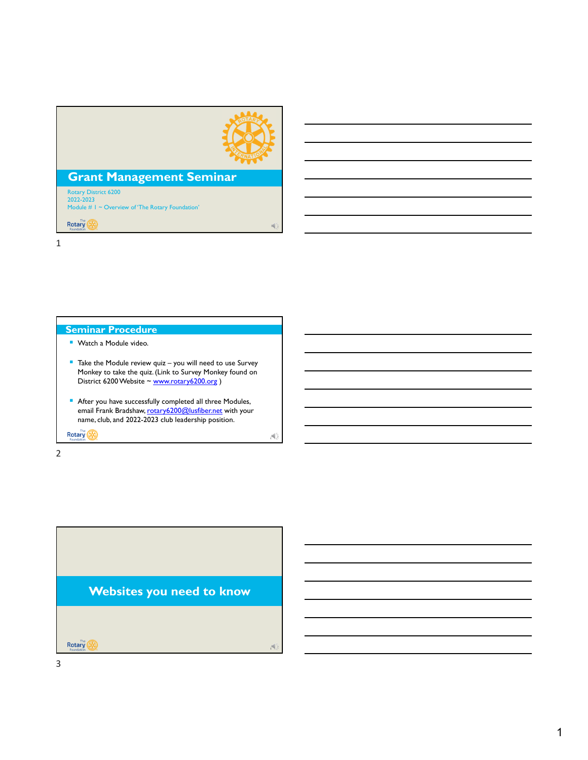

 $A$ 

### **Grant Management Seminar**

Rotary District 6200 2022-2023 Module # 1 ~ Overview of 'The Rotary Foundation'

Rotary 1

#### **Seminar Procedure**

- **Watch a Module video.**
- Take the Module review quiz you will need to use Survey Monkey to take the quiz. (Link to Survey Monkey found on District 6200 Website ~ www.rotary6200.org )
- After you have successfully completed all three Modules, email Frank Bradshaw, rotary6200@lusfiber.net with your name, club, and 2022-2023 club leadership position.

Rotary (

2

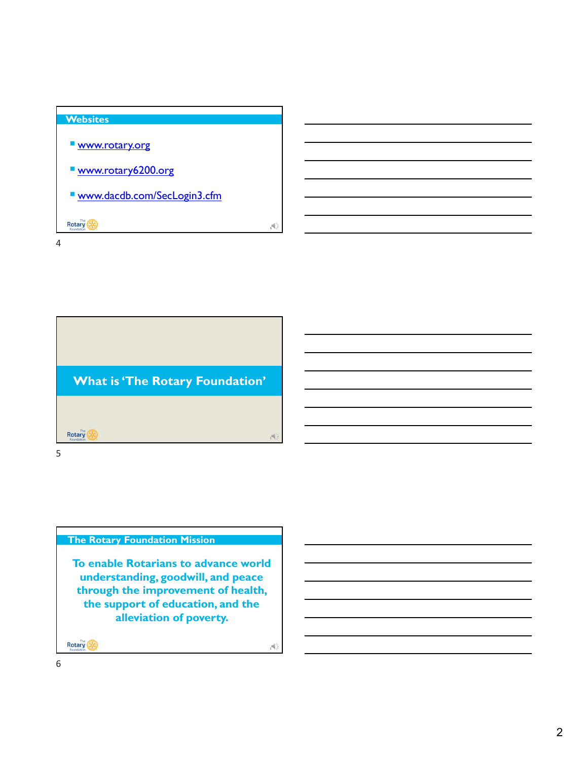## **Websites Www.rotary.org**  www.rotary6200.org www.dacdb.com/SecLogin3.cfm Rotary (A) 4

4



# **The Rotary Foundation Mission**

**To enable Rotarians to advance world understanding, goodwill, and peace through the improvement of health, the support of education, and the alleviation of poverty.** 

**Rotary** 

6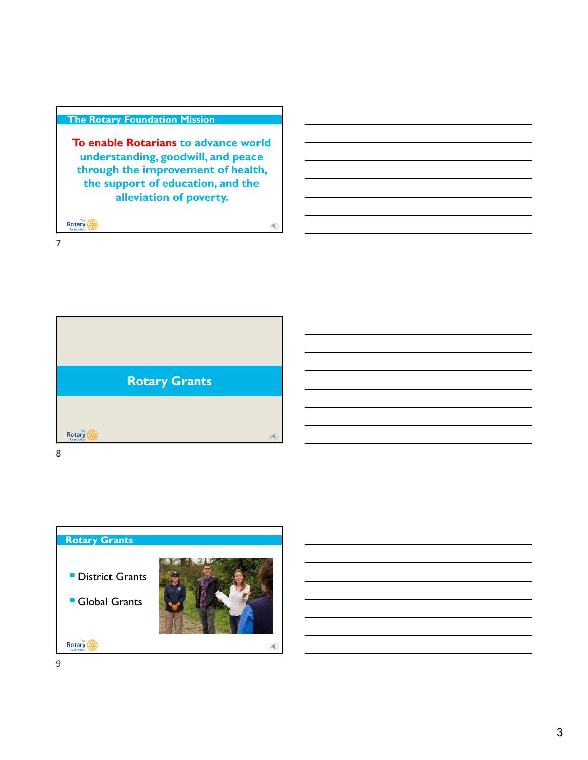#### **The Rotary Foundation Mission**

**To enable Rotarians to advance world understanding, goodwill, and peace through the improvement of health, the support of education, and the alleviation of poverty.** 

 $\mathcal{A}$ 

Rotary (A)

7



8

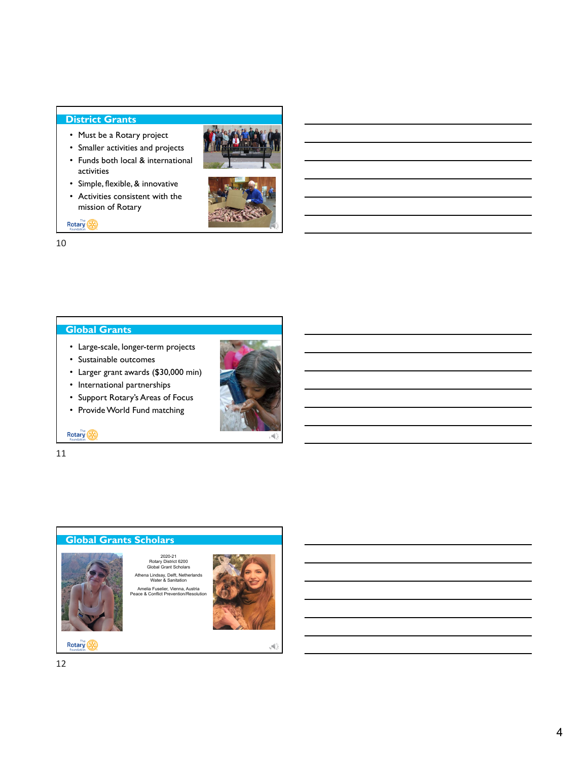#### **District Grants**

- Must be a Rotary project
- Smaller activities and projects
- Funds both local & international activities
- Simple, flexible, & innovative
- Activities consistent with the mission of Rotary

Rotary



#### 10

#### **Global Grants**

- Large-scale, longer-term projects
- Sustainable outcomes
- Larger grant awards (\$30,000 min)
- International partnerships
- Support Rotary's Areas of Focus
- Provide World Fund matching



11





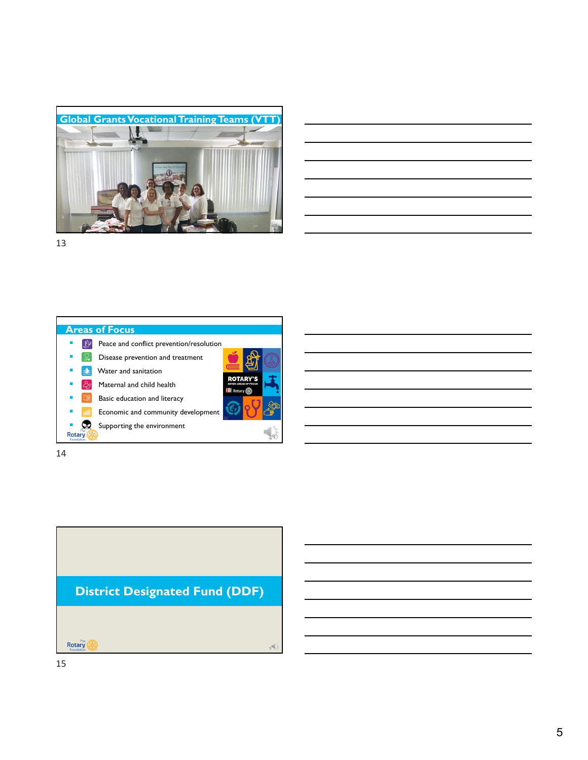



13

#### **Areas of Focus Peace and conflict prevention/resolution**  $\bullet$   $\mathbb{Q}$  Disease prevention and treatment  $\blacksquare$   $\blacksquare$  Water and sanitation **ROTARY'S**  $\Box$   $\partial$  Maternal and child health III Rotary @ **Basic education and literacy Execute F** Economic and community development **Supporting the environment** Rotary  $\overline{\mathbf{S}}$ 14

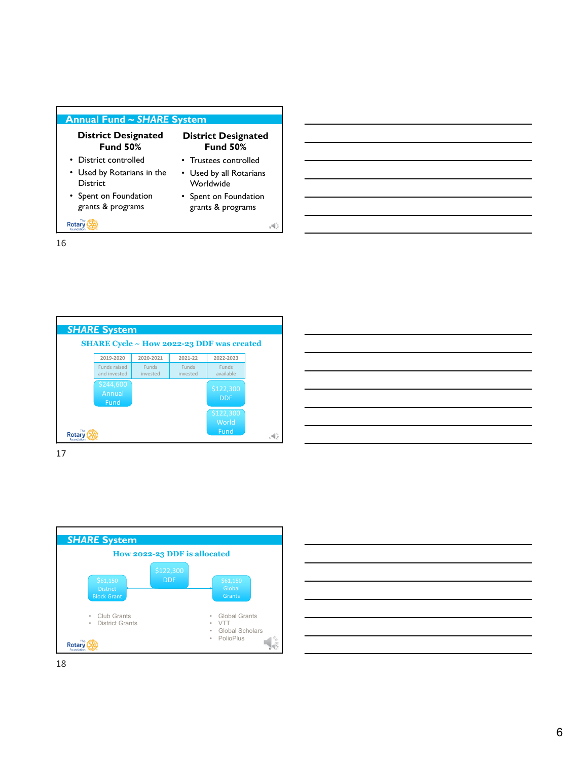#### **Annual Fund ~** *SHARE* **System**

#### **District Designated Fund 50%**

#### **District Designated Fund 50%** • Trustees controlled

- District controlled
- Used by Rotarians in the District
- Spent on Foundation grants & programs

Rotary (A)

• Used by all Rotarians **Worldwide** • Spent on Foundation grants & programs

16

16



17



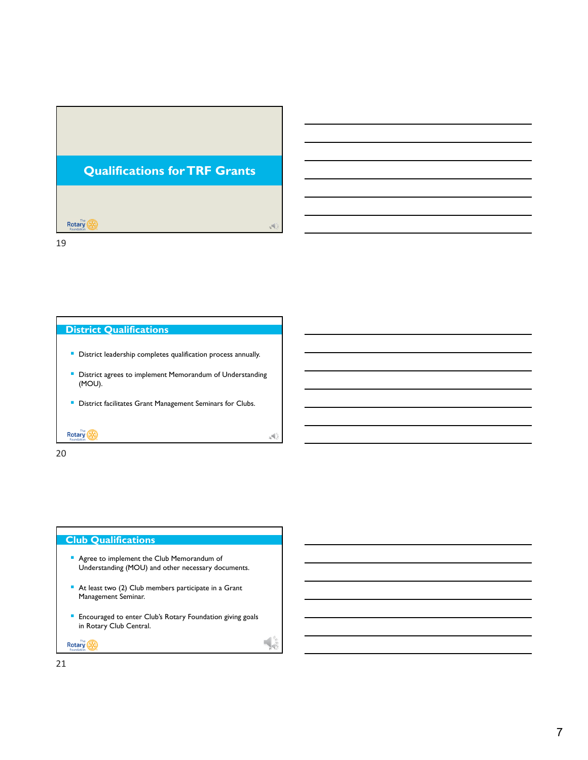

19

#### **District Qualifications**

- **District leadership completes qualification process annually.**
- **District agrees to implement Memorandum of Understanding** (MOU).

 $_2$ e $\left\langle \right\rangle$ 

2

**District facilitates Grant Management Seminars for Clubs.** 

Rotary (A)

20

#### **Club Qualifications**

- **Agree to implement the Club Memorandum of** Understanding (MOU) and other necessary documents.
- At least two (2) Club members participate in a Grant Management Seminar.
- **Encouraged to enter Club's Rotary Foundation giving goals** in Rotary Club Central.

Rotary (A)